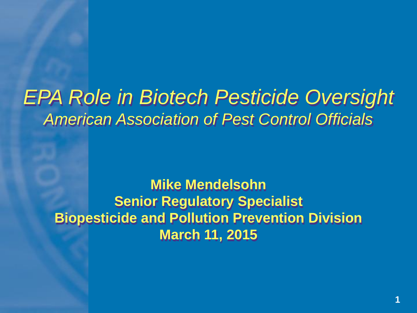### *EPA Role in Biotech Pesticide Oversight American Association of Pest Control Officials*

**Mike Mendelsohn Senior Regulatory Specialist Biopesticide and Pollution Prevention Division March 11, 2015**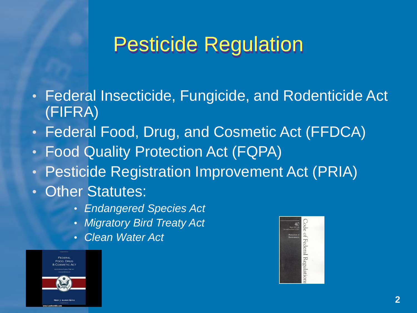### Pesticide Regulation

- Federal Insecticide, Fungicide, and Rodenticide Act (FIFRA)
- Federal Food, Drug, and Cosmetic Act (FFDCA)
- Food Quality Protection Act (FQPA)
- Pesticide Registration Improvement Act (PRIA)
- Other Statutes:
	- *Endangered Species Act*
	- *Migratory Bird Treaty Act*
	- *Clean Water Act*



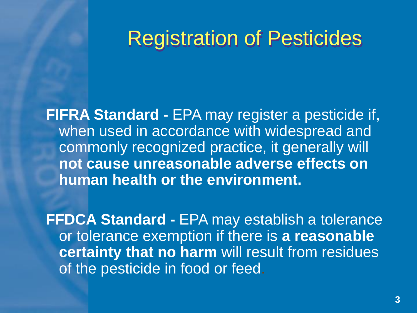### Registration of Pesticides

**FIFRA Standard -** EPA may register a pesticide if, when used in accordance with widespread and commonly recognized practice, it generally will **not cause unreasonable adverse effects on human health or the environment.**

**FFDCA Standard -** EPA may establish a tolerance or tolerance exemption if there is **a reasonable certainty that no harm** will result from residues of the pesticide in food or feed.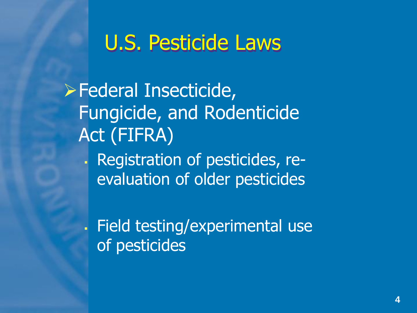### U.S. Pesticide Laws

Federal Insecticide, Fungicide, and Rodenticide Act (FIFRA) Registration of pesticides, reevaluation of older pesticides

 Field testing/experimental use of pesticides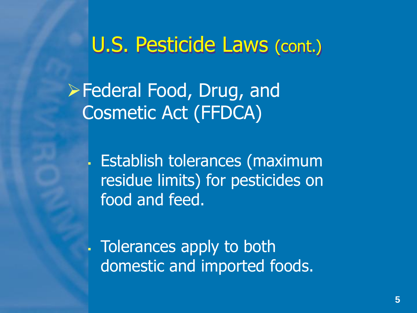#### U.S. Pesticide Laws (cont.)

**Example 7 Federal Food, Drug, and** Cosmetic Act (FFDCA)

> Establish tolerances (maximum residue limits) for pesticides on food and feed.

. Tolerances apply to both domestic and imported foods.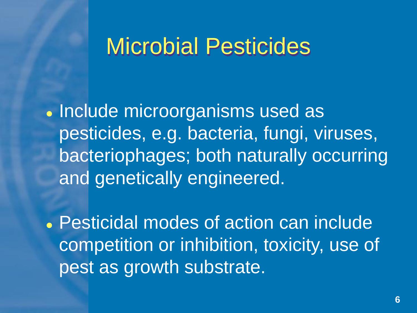### Microbial Pesticides

• Include microorganisms used as pesticides, e.g. bacteria, fungi, viruses, bacteriophages; both naturally occurring and genetically engineered.

 Pesticidal modes of action can include competition or inhibition, toxicity, use of pest as growth substrate.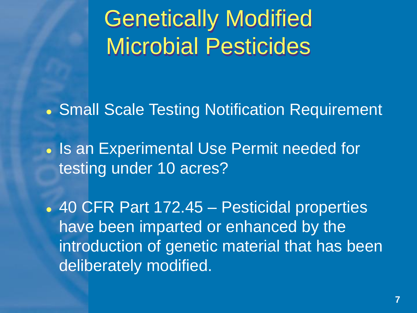Genetically Modified Microbial Pesticides

Small Scale Testing Notification Requirement

• Is an Experimental Use Permit needed for testing under 10 acres?

 40 CFR Part 172.45 – Pesticidal properties have been imparted or enhanced by the introduction of genetic material that has been deliberately modified.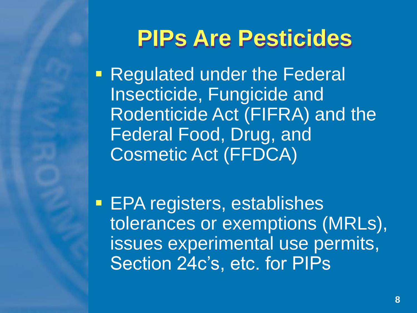## **PIPs Are Pesticides**

**Regulated under the Federal** Insecticide, Fungicide and Rodenticide Act (FIFRA) and the Federal Food, Drug, and Cosmetic Act (FFDCA)

**EPA registers, establishes** tolerances or exemptions (MRLs), issues experimental use permits, Section 24c's, etc. for PIPs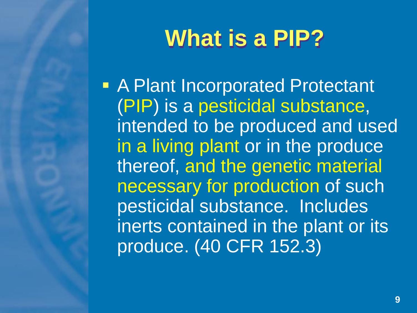## **What is a PIP?**

**A Plant Incorporated Protectant** (PIP) is a pesticidal substance, intended to be produced and used in a living plant or in the produce thereof, and the genetic material necessary for production of such pesticidal substance. Includes inerts contained in the plant or its produce. (40 CFR 152.3)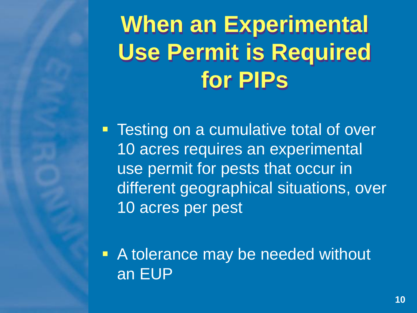# **When an Experimental Use Permit is Required for PIPs**

**Testing on a cumulative total of over** 10 acres requires an experimental use permit for pests that occur in different geographical situations, over 10 acres per pest

■ A tolerance may be needed without an EUP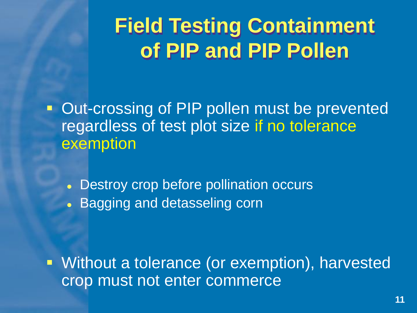## **Field Testing Containment of PIP and PIP Pollen**

**• Out-crossing of PIP pollen must be prevented** regardless of test plot size if no tolerance exemption

 Destroy crop before pollination occurs **• Bagging and detasseling corn** 

 Without a tolerance (or exemption), harvested crop must not enter commerce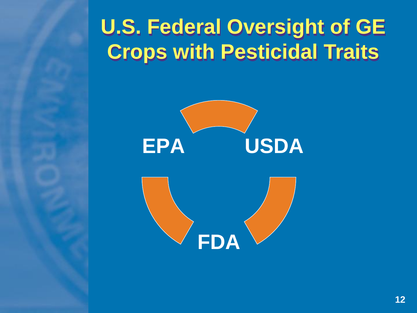## **U.S. Federal Oversight of GE Crops with Pesticidal Traits**

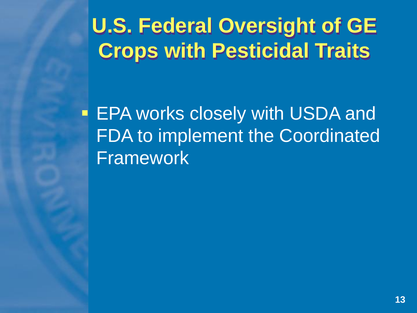## **U.S. Federal Oversight of GE Crops with Pesticidal Traits**

**EPA works closely with USDA and** FDA to implement the Coordinated Framework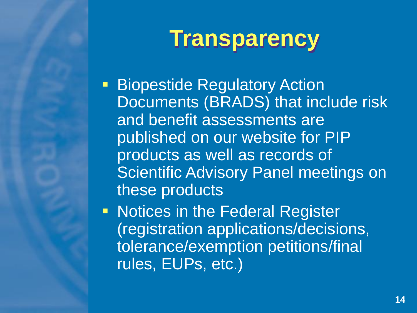## **Transparency**

**Biopestide Regulatory Action** Documents (BRADS) that include risk and benefit assessments are published on our website for PIP products as well as records of Scientific Advisory Panel meetings on these products

**Notices in the Federal Register** (registration applications/decisions, tolerance/exemption petitions/final rules, EUPs, etc.)